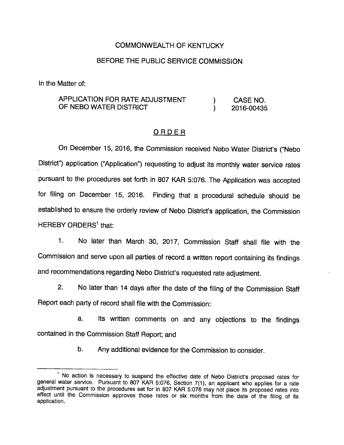## COMMONWEALTH OF KENTUCKY

## BEFORE THE PUBLIC SERVICE COMMISSION

In the Matter of:

## APPLICATION FOR RATE ADJUSTMENT ) CASE NO. OF NEBO WATER DISTRICT (2016-00435)

## ORDER

On December 15, 2016, the Commission received Nebo Water District's ("Nebo District") application ("Application") requesting to adjust its monthly water service rates pursuant to the procedures set forth in 807 KAR 5:076. The Application was accepted for filing on December 15, 2016. Finding that a procedural schedule should be established to ensure the orderly review of Nebo District's application, the Commission HEREBY ORDERS<sup>1</sup> that:

1. No later than March 30, 2017, Commission Staff shall file with the Commission and serve upon all parties of record a written report containing its findings and recommendations regarding Nebo District's requested rate adjustment.

2. No later than 14 days after the date of the filing of the Commission Staff Report each party of record shall file with the Commission:

a. Its written comments on and any objections to the findings contained in the Commission Staff Report; and

b. Any additional evidence for the Commission to consider.

<sup>&</sup>lt;sup>1</sup> No action is necessary to suspend the effective date of Nebo District's proposed rates for general water service. Pursuant to 807 KAR 5:076, Section 7(1), an applicant who applies for a rate adjustment pursuant to the procedures set for in 807 KAR 5:076 may not place its proposed rates into effect until the Commission approves those rates or six months from the date of the filing of its application.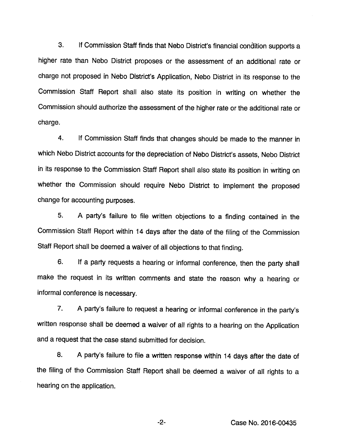3. If Commission Staff finds that Nebo District's financial condition supports a higher rate than Nebo District proposes or the assessment of an additional rate or charge not proposed in Nebo District's Application, Nebo District in its response to the Commission Staff Report shall also state its position in writing on whether the Commission should authorize the assessment of the higher rate or the additional rate or charge.

4. If Commission Staff finds that changes should be made to the manner in which Nebo District accounts for the depreciation of Nebo District's assets, Nebo District in its response to the Commission Staff Report shall also state its position in writing on whether the Commission should require Nebo District to implement the proposed change for accounting purposes.

5. A party's failure to file written objections to a finding contained in the Commission Staff Report within 14 days after the date of the filing of the Commission Staff Report shall be deemed a waiver of all objections to that finding.

6. If a party requests a hearing or informal conference, then the party shall make the request in its written comments and state the reason why a hearing or informal conference is necessary.

7. A party's failure to request a hearing or informal conference in the party's written response shall be deemed a waiver of all rights to a hearing on the Application and a request that the case stand submitted for decision.

8. A party's failure to file a written response within 14 days after the date of the filing of the Commission Staff Report shall be deemed a waiver of all rights to a hearing on the application.

-2- Case No. 2016-00435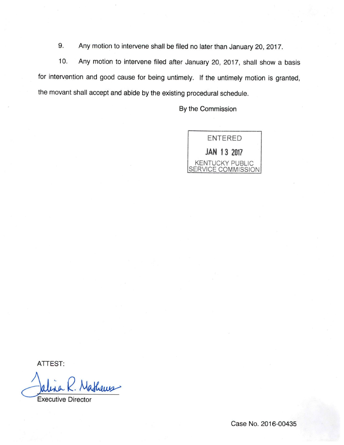9. Any motion to intervene shall be filed no later than January 20, 2017.

10. Any motion to intervene filed after January 20, 2017, shall show a basis for intervention and good cause for being untimely. If the untimely motion is granted, the movant shall accept and abide by the existing procedural schedule.

By the Commission



ATTEST:

lathers

Executive Director

Case No. 2016-00435